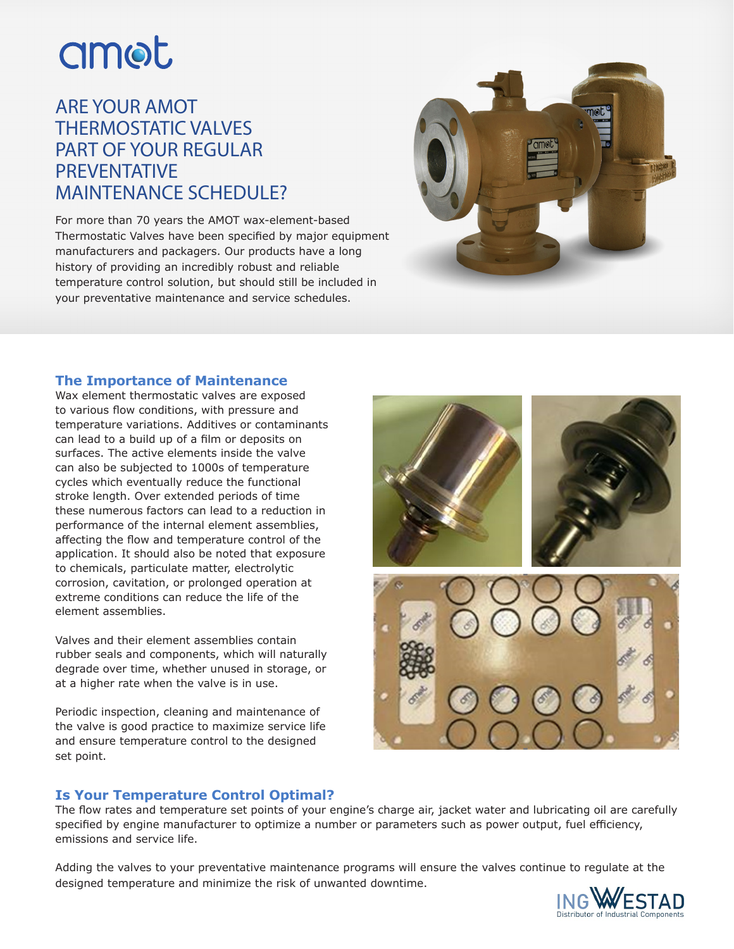# amot

# ARE YOUR AMOT THERMOSTATIC VALVES PART OF YOUR REGULAR PREVENTATIVE MAINTENANCE SCHEDULE?

For more than 70 years the AMOT wax-element-based Thermostatic Valves have been specified by major equipment manufacturers and packagers. Our products have a long history of providing an incredibly robust and reliable temperature control solution, but should still be included in your preventative maintenance and service schedules.



#### **The Importance of Maintenance**

Wax element thermostatic valves are exposed to various flow conditions, with pressure and temperature variations. Additives or contaminants can lead to a build up of a film or deposits on surfaces. The active elements inside the valve can also be subjected to 1000s of temperature cycles which eventually reduce the functional stroke length. Over extended periods of time these numerous factors can lead to a reduction in performance of the internal element assemblies, affecting the flow and temperature control of the application. It should also be noted that exposure to chemicals, particulate matter, electrolytic corrosion, cavitation, or prolonged operation at extreme conditions can reduce the life of the element assemblies.

Valves and their element assemblies contain rubber seals and components, which will naturally degrade over time, whether unused in storage, or at a higher rate when the valve is in use.

Periodic inspection, cleaning and maintenance of the valve is good practice to maximize service life and ensure temperature control to the designed set point.



## **Is Your Temperature Control Optimal?**

The flow rates and temperature set points of your engine's charge air, jacket water and lubricating oil are carefully specified by engine manufacturer to optimize a number or parameters such as power output, fuel efficiency, emissions and service life.

Adding the valves to your preventative maintenance programs will ensure the valves continue to regulate at the designed temperature and minimize the risk of unwanted downtime.